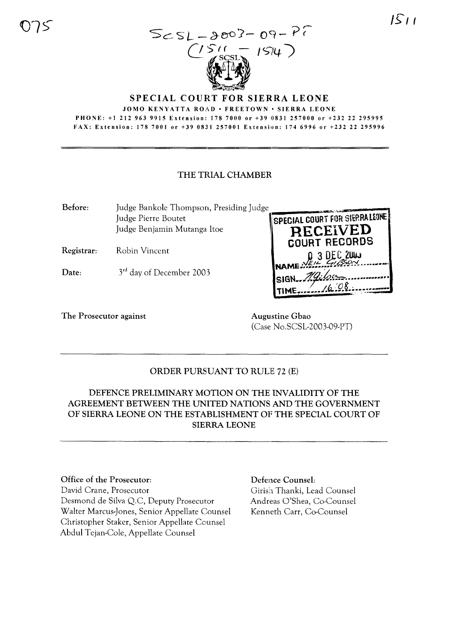$1511$ 



#### SPECIAL COURT FOR SIERRA LEONE

JOMO KENYATTA ROAD · FREETOWN · SIERRA LEONE

PHONE: +1212 963 9915 Extension: 178 7000 or +39 0831257000 or +232 22 295995 FAX: Extension: 1787001 or +39 0831257001 Extension: 1746996 or +232 22 295996

#### THE TRIAL CHAMBER

| Before:    | Judge Bankole Thompson, Presiding Judge |                                         |
|------------|-----------------------------------------|-----------------------------------------|
|            | Judge Pierre Boutet                     | <b>SPECIAL COURT FOR SIERRALEONE!</b>   |
|            | Judge Benjamin Mutanga Itoe             | <b>RECEIVED</b><br><b>COURT RECORDS</b> |
| Registrar: | Robin Vincent                           | D 3 DEC 2003                            |
| Date:      | 3 <sup>rd</sup> day of December 2003    | $Isian. \mathcal{H}glon$                |
|            |                                         | 16.08                                   |

The Prosecutor against **Augustine Gbao** 

(Case No.SCSL-2003-09-PT)

# ORDER PURSUANT TO RULE 72 (E)

DEFENCE PRELIMINARY MOTION ON THE INVALIDITY OF THE AGREEMENT BETWEEN THE UNITED NATIONS AND THE GOVERNMENT OF SIERRA LEONE ON THE ESTABLISHMENT OF THE SPECIAL COURT OF SIERRA LEONE

#### Office of the Prosecutor:

David Crane, Prosecutor Desmond de Silva Q.C, Deputy Prosecutor Walter Marcus-Jones, Senior Appellate Counsel Christopher Staker, Senior Appellate Counsel Abdul Tejan-Cole, Appellate Counsel

# Defence Counsel:

Girish Thanki, Lead Counsel Andreas O'Shea, Co-Counsel Kenneth Carr, Co-Counsel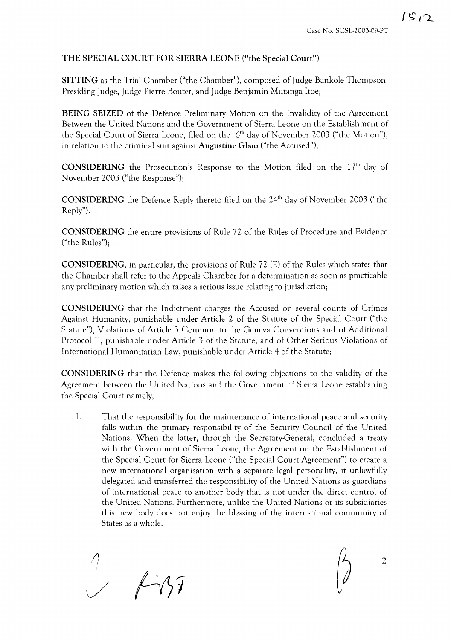# THE SPECIAL COURT FOR SIERRA LEONE ("the Special Court")

SITTING as the Trial Chamber ("the Chamber"), composed of judge Bankole Thompson, Presiding Judge, Judge Pierre Boutet, and Judge Benjamin Mutanga Itoe,

BEING SEIZED of the Defence Preliminary Motion on the Invalidity of the Agreement Between the United Nations and the Government of Sierra Leone on the Establishment of the Special Court of Sierra Leone, filed on the  $6<sup>th</sup>$  day of November 2003 ("the Motion"), in relation to the criminal suit against Augustine Gbao ("the Accused");

**CONSIDERING** the Prosecution's Response to the Motion filed on the  $17<sup>th</sup>$  day of November 2003 ("the Response");

CONSIDERING the Defence Reply thereto filed on the 24<sup>th</sup> day of November 2003 ("the Reply").

CONSIDERING the entire provisions of Rule 72 of the Rules of Procedure and Evidence ("the Rules");

CONSIDERING, in particular, the provisions of Rule 72 (E) of the Rules which states that the Chamber shall refer to the Appeals Chamber for a determination as soon as practicable any preliminary motion which raises a serious issue relating to jurisdiction;

CONSIDERING that the Indictment charges the Accused on several counts of Crimes Against Humanity, punishable under Article 2 of the Statute of the Special Court ("the Statute"), Violations of Article 3 Common to the Geneva Conventions and of Additional Protocol II, punishable under Article 3 of the Statute, and of Other Serious Violations of International Humanitarian Law, punishable under Article 4 of the Statute;

CONSIDERING that the Defence makes the following objections to the validity of the Agreement between the United Nations and the Government of Sierra Leone establishing the Special Court namely,

1. That the responsibility for the maintenance of international peace and security falls within the primary responsibility of the Security Council of the United Nations. When the latter, through the Secretary-General, concluded a treaty with the Government of Sierra Leone, the Agreement on the Establishment of the Special Court for Sierra Leone ("the Special Court Agreement") to create a new international organisation with a separate legal personality, it unlawfully delegated and transferred the responsibility of the United Nations as guardians of international peace to another body that is not under the direct control of the United Nations. Furthermore, unlike the United Nations or its subsidiaries this new body does not enjoy the blessing of the international community of States as a whole.

 $\frac{1}{2}$   $\frac{1}{2}$ 

2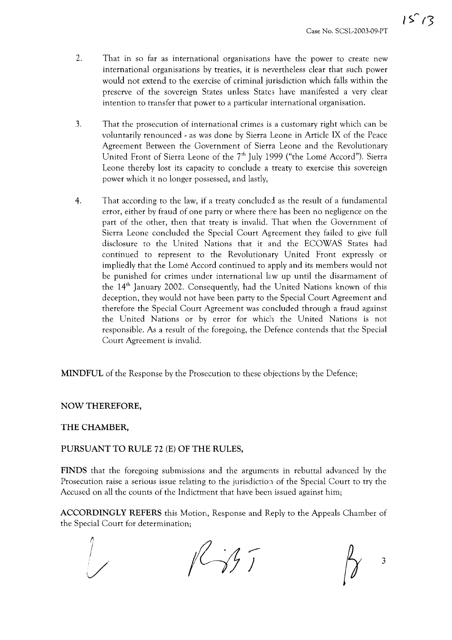- 2. That in so far as international organisations have the power to create new international organisations by treaties, it is nevertheless clear that such power would not extend to the exercise of criminal jurisdiction which falls within the preserve of the sovereign States unless States have manifested a very clear intention to transfer that power to a particular international organisation.
- 3. That the prosecution of international crimes is a customary right which can be voluntarily renounced - as was done by Sierra Leone in Article IX of the Peace Agreement Between the Government of Sierra Leone and the Revolutionary United Front of Sierra Leone of the  $7<sup>th</sup>$  July 1999 ("the Lome Accord"). Sierra Leone thereby lost its capacity to conclude a treaty to exercise this sovereign power which it no longer possessed, and lastly,
- 4. That according to the law, if a treaty concluded as the result of a fundamental error, either by fraud of one party or where there has been no negligence on the part of the other, then that treaty is invalid. That when the Government of Sierra Leone concluded the Special Court Agreement they failed to give full disclosure to the United Nations that it and the ECOWAS States had continued to represent to the Revolutionary United Front expressly or impliedly that the Lome Accord continued to apply and its members would not be punished for crimes under international law up until the disarmament of the  $14<sup>th</sup>$  January 2002. Consequently, had the United Nations known of this deception, they would not have been party to the Special Court Agreement and therefore the Special Court Agreement was concluded through a fraud against the United Nations or by error for which the United Nations is not responsible. As a result of the foregoing, the Defence contends that the Special Court Agreement is invalid.

**MINDFUL** of the Response by the Prosecution to these objections by the Defence;

# **NOW THEREFORE,**

# **THE CHAMBER,**

# **PURSUANT TO RULE** 72 (E) **OF THE RULES,**

**FINDS** that the foregoing submissions and the arguments in rebuttal advanced by the Prosecution raise a serious issue relating to the jurisdiction of the Special Court to try the Accused on all the counts of the Indictment that have been issued against him;

**ACCORDINGLY REFERS** this Motion, Response and Reply to the Appeals Chamber of the Special Court for determination;

 $\eta$  $1177$ ! 3